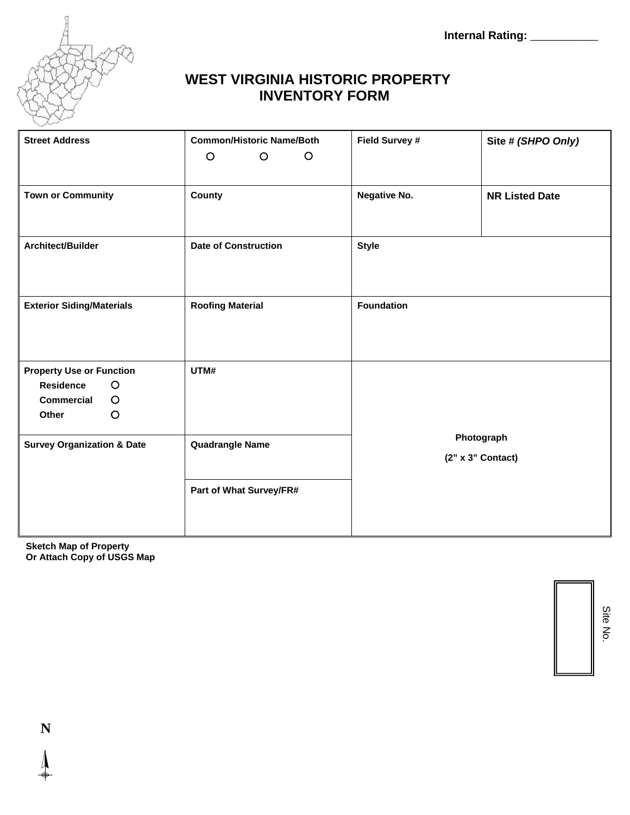**Internal Rating:** \_\_\_\_\_\_\_\_\_\_\_



## **WEST VIRGINIA HISTORIC PROPERTY INVENTORY FORM**

| <b>Street Address</b>                                                                                              | <b>Common/Historic Name/Both</b><br>$\circ$<br>$\circ$<br>$\circ$ | Field Survey #                    | Site # (SHPO Only)    |
|--------------------------------------------------------------------------------------------------------------------|-------------------------------------------------------------------|-----------------------------------|-----------------------|
| <b>Town or Community</b>                                                                                           | County                                                            | <b>Negative No.</b>               | <b>NR Listed Date</b> |
| Architect/Builder                                                                                                  | <b>Date of Construction</b>                                       | <b>Style</b>                      |                       |
| <b>Exterior Siding/Materials</b>                                                                                   | <b>Roofing Material</b>                                           | <b>Foundation</b>                 |                       |
| <b>Property Use or Function</b><br><b>Residence</b><br>$\circ$<br>$\circ$<br><b>Commercial</b><br>$\circ$<br>Other | UTM#                                                              |                                   |                       |
| <b>Survey Organization &amp; Date</b>                                                                              | <b>Quadrangle Name</b>                                            | Photograph<br>$(2" x 3"$ Contact) |                       |
|                                                                                                                    | Part of What Survey/FR#                                           |                                   |                       |

**Sketch Map of Property Or Attach Copy of USGS Map** 

> Site N o.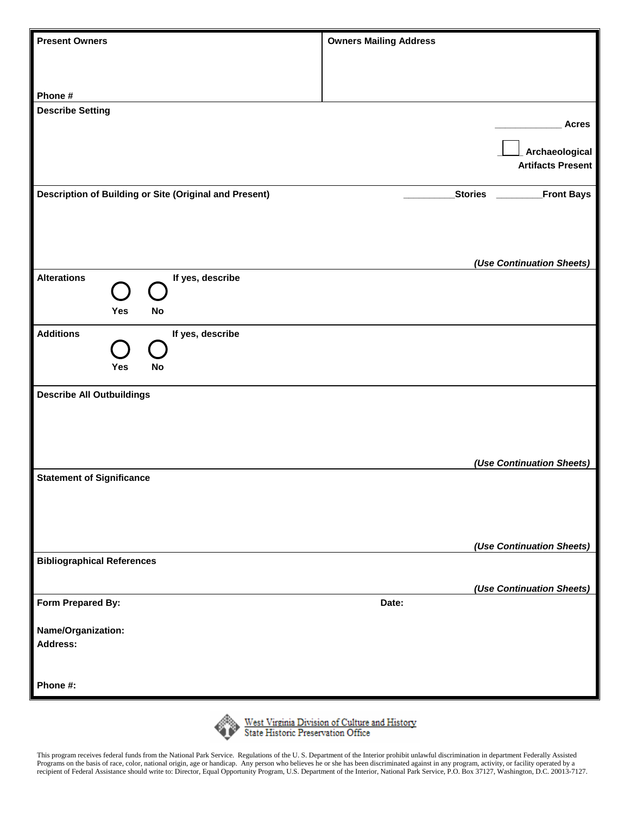| <b>Present Owners</b>                                  | <b>Owners Mailing Address</b> |                |                           |
|--------------------------------------------------------|-------------------------------|----------------|---------------------------|
|                                                        |                               |                |                           |
|                                                        |                               |                |                           |
| Phone #                                                |                               |                |                           |
| <b>Describe Setting</b>                                |                               |                |                           |
|                                                        |                               |                | <b>Acres</b>              |
|                                                        |                               |                | Archaeological            |
|                                                        |                               |                | <b>Artifacts Present</b>  |
| Description of Building or Site (Original and Present) |                               | <b>Stories</b> | <b>Front Bays</b>         |
|                                                        |                               |                |                           |
|                                                        |                               |                |                           |
|                                                        |                               |                |                           |
|                                                        |                               |                | (Use Continuation Sheets) |
| <b>Alterations</b><br>If yes, describe                 |                               |                |                           |
| $(\ \ )$                                               |                               |                |                           |
| Yes<br><b>No</b>                                       |                               |                |                           |
| <b>Additions</b><br>If yes, describe                   |                               |                |                           |
|                                                        |                               |                |                           |
| <b>No</b><br>Yes                                       |                               |                |                           |
|                                                        |                               |                |                           |
| <b>Describe All Outbuildings</b>                       |                               |                |                           |
|                                                        |                               |                |                           |
|                                                        |                               |                |                           |
|                                                        |                               |                | (Use Continuation Sheets) |
| <b>Statement of Significance</b>                       |                               |                |                           |
|                                                        |                               |                |                           |
|                                                        |                               |                |                           |
|                                                        |                               |                |                           |
|                                                        |                               |                | (Use Continuation Sheets) |
| <b>Bibliographical References</b>                      |                               |                |                           |
|                                                        |                               |                | (Use Continuation Sheets) |
| Form Prepared By:                                      | Date:                         |                |                           |
|                                                        |                               |                |                           |
| Name/Organization:<br>Address:                         |                               |                |                           |
|                                                        |                               |                |                           |
|                                                        |                               |                |                           |
| Phone #:                                               |                               |                |                           |



West Virginia Division of Culture and History<br>State Historic Preservation Office

This program receives federal funds from the National Park Service. Regulations of the U. S. Department of the Interior prohibit unlawful discrimination in department Federally Assisted Programs on the basis of race, color, national origin, age or handicap. Any person who believes he or she has been discriminated against in any program, activity, or facility operated by a recipient of Federal Assistance should write to: Director, Equal Opportunity Program, U.S. Department of the Interior, National Park Service, P.O. Box 37127, Washington, D.C. 20013-7127.